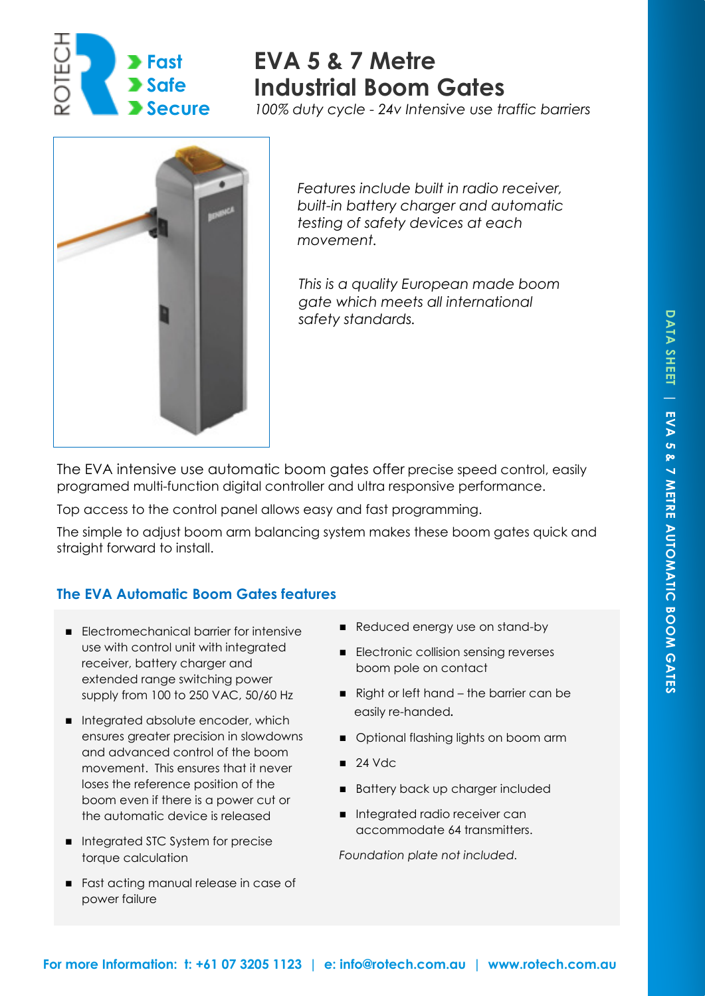

# **EVA 5 & 7 Metre Industrial Boom Gates**

*100% duty cycle - 24v Intensive use traffic barriers* 



*Features include built in radio receiver, built-in battery charger and automatic testing of safety devices at each movement.* 

*This is a quality European made boom gate which meets all international safety standards.* 

The EVA intensive use automatic boom gates offer precise speed control, easily programed multi-function digital controller and ultra responsive performance.

Top access to the control panel allows easy and fast programming.

The simple to adjust boom arm balancing system makes these boom gates quick and straight forward to install.

## **The EVA Automatic Boom Gates features**

- Electromechanical barrier for intensive use with control unit with integrated receiver, battery charger and extended range switching power supply from 100 to 250 VAC, 50/60 Hz
- Integrated absolute encoder, which ensures greater precision in slowdowns and advanced control of the boom movement. This ensures that it never loses the reference position of the boom even if there is a power cut or the automatic device is released
- Integrated STC System for precise torque calculation
- Fast acting manual release in case of power failure
- Reduced energy use on stand-by
- Electronic collision sensing reverses boom pole on contact
- Right or left hand the barrier can be easily re-handed*.*
- Optional flashing lights on boom arm
- $\blacksquare$  24 Vdc
- Battery back up charger included
- Integrated radio receiver can accommodate 64 transmitters.

*Foundation plate not included.*